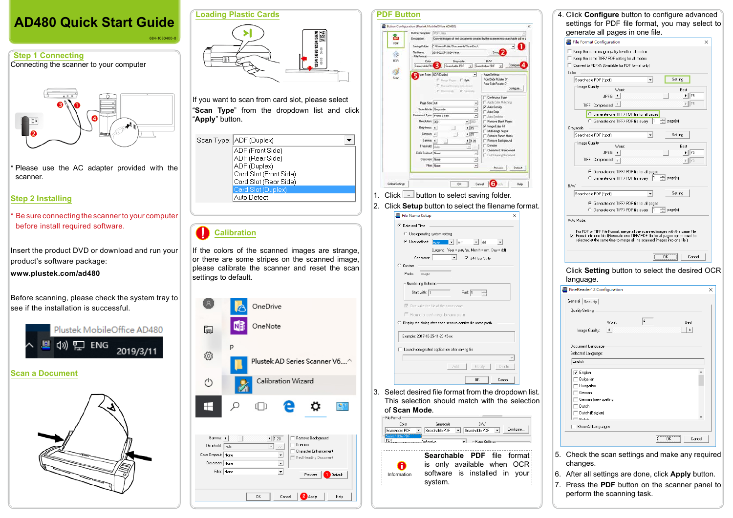#### **PDF Button** & Button Configuration (Pluttek MobileOffice AD480 **Button Terrolate EXCELLED** 齒 Convertimages of test documents created by the scanner into searchable pdf or p Description  $POF$ Saving Eddier E. Miser Music Conservative Condition File Name: 2010/02/27 10:24-14 or  $\mathcal{L}$ File Frence BCR RAN Gravecale Searchable PDF = Searchable PDF = Config 8J Page Settings ≖ Soan Front Side Rotate: 0" This Row F. told Rear Side Rotate: 0" F Hannahlangen Administration Configure... C Harristo C Ventrale Confinuous Scan Apply Color Matching Page Sine Ltd.  $\bullet$  $\overline{\boldsymbol{\varphi}}'$ Auto Density Scan Mode Grayscale  $\sim$ Auto Crop unert Type Physic Text  $\cdot$ Auto Davision Resolution: Targ Remove Blank Pages  $-1500$ Things Edge Fill  $.15$ Bightness 4 Multi-image output Cortast 4 ・添 Renove Punch Hole Genma 41  $1/120$ Remove Background Threshold []  $\sim$   $\sim$ Denoise Character Enhan Color Dropout: None 킈 Red Heading Document Descreen: None  $\overline{.}$ Filter None  $\overline{z}$ Preview Default Global Settings 06 Cancel **6**  $Hab$ 1. Click  $\Box$  button to select saving folder. 2. Click **Setup** button to select the filename format. File Name Setup  $\widehat{\bullet}$  Date and Time  $\bigcirc$  Use operating system setting  $\blacksquare$   $\blacksquare$ C User-defined:  $\boxed{\blacksquare}$  dd  $\mathbb{F}$ (Legend: Year = yyyy/yy, Month = mm, Day = dd)  $\boxed{\blacksquare}$   $\boxed{\blacktriangledown}$  24-Hour Style Separator:  $\circ$  Custor Prefix: image Numbering Scheme Pad:  $\boxed{5}$ Start with: F  $\overline{\blacktriangledown}$  Overwrite the file of the same name Prompt for confirming file name prefix  $\tilde{\phantom{a}}$  Display the dialog after each scan to confirm file name prefix. Example: 2017-10-25-11-20-45-xx Launch designated application after saving file Delete... Modify..  $OK$ Cancel 3. Select desired file format from the dropdown list. This selection should match with the selection of **Scan Mode**.  $\mathsf{Color}$  $G$ rayscale  $\underline{\mathsf{B}}\mathsf{W}$ Searchable PDF Searchable PDF V Searchable PDF V Configure...  $\overline{\mathbf{v}}$   $\mathbf{v}$   $\mathbf{v}$   $\mathbf{P}$  age Setting <u>. . . . . . . . . . . .</u> **Searchable PDF** file format  $\mathbf 0$ is only available when OCR software is installed in your Information system.

|                      | <b>Loading Plastic Cards</b><br>34567812345678<br>VISA<br>op.co                                                                                                        |
|----------------------|------------------------------------------------------------------------------------------------------------------------------------------------------------------------|
| "Apply" button.      | If you want to scan from card slot, please select<br>"Scan Type" from the dropdown list and click                                                                      |
|                      | Scan Type: ADF (Duplex)<br>ADF (Front Side)<br>ADF (Rear Side)<br>ADF (Duplex)<br>Card Slot (Front Side)<br>Card Slot (Rear Side)<br>Card Slot (Duplex)<br>Auto Detect |
|                      | <b>Calibration</b><br>If the colors of the scanned images are strange,                                                                                                 |
| settings to default. | or there are some stripes on the scanned image,<br>please calibrate the scanner and reset the scan                                                                     |
| ⊡                    | OneDrive<br>OneNote                                                                                                                                                    |
| ĘO3                  | P<br>Plustek AD Series Scanner V6'                                                                                                                                     |
| (')                  | Calibration Wizard                                                                                                                                                     |
|                      |                                                                                                                                                                        |



| File Format Configuration                                                              |                                                                                                                                                                                                                                                                                                     |    |                       | × |
|----------------------------------------------------------------------------------------|-----------------------------------------------------------------------------------------------------------------------------------------------------------------------------------------------------------------------------------------------------------------------------------------------------|----|-----------------------|---|
|                                                                                        | $\Box$ Keep the same image quality level for all modes                                                                                                                                                                                                                                              |    |                       |   |
|                                                                                        | □ Keep the same TIFF/PDF setting for all modes                                                                                                                                                                                                                                                      |    |                       |   |
|                                                                                        | □ Convert to PDF/A (Available for PDF format only)                                                                                                                                                                                                                                                  |    |                       |   |
| Color<br>Searchable PDF (*.pdf)                                                        |                                                                                                                                                                                                                                                                                                     | ▾╎ | Setting               |   |
| Image Quality                                                                          |                                                                                                                                                                                                                                                                                                     |    |                       |   |
|                                                                                        | Worst<br>$\blacksquare$<br>JPEG                                                                                                                                                                                                                                                                     |    | Best<br> 75           |   |
| TIFF - Compressed                                                                      |                                                                                                                                                                                                                                                                                                     |    | 75                    |   |
|                                                                                        | 6 Generate one TIFF/ PDF file for all pages                                                                                                                                                                                                                                                         |    |                       |   |
|                                                                                        | G Generate one TIFF/PDF file every 1                                                                                                                                                                                                                                                                |    | 국 page(s)             |   |
| Grayscale                                                                              |                                                                                                                                                                                                                                                                                                     |    |                       |   |
| Searchable PDF (*.pdf)                                                                 |                                                                                                                                                                                                                                                                                                     | ▾  | Setting               |   |
| Image Quality                                                                          | Worst                                                                                                                                                                                                                                                                                               |    | Best                  |   |
|                                                                                        | JPEG<br>$\overline{ }$                                                                                                                                                                                                                                                                              |    | ▶   75                |   |
| TIFF - Compressed                                                                      |                                                                                                                                                                                                                                                                                                     |    | 75                    |   |
|                                                                                        | 6 Generate one TIFF/PDF file for all pages                                                                                                                                                                                                                                                          |    |                       |   |
|                                                                                        | C Generate one TIFF/PDF file every  1                                                                                                                                                                                                                                                               |    | $\Rightarrow$ page(s) |   |
| <b>BAV</b>                                                                             |                                                                                                                                                                                                                                                                                                     |    |                       |   |
| Searchable PDF (*.pdf)                                                                 |                                                                                                                                                                                                                                                                                                     | ▼  | Setting               |   |
|                                                                                        | ⊙ Generate one TIFF/ PDF file for all pages                                                                                                                                                                                                                                                         |    |                       |   |
|                                                                                        |                                                                                                                                                                                                                                                                                                     |    |                       |   |
|                                                                                        | G Generate one TIFF/PDF file every<br>For PDF or TIFF File Format, merge all the scanned images with the same File.<br>$\triangledown$ Format into one file. (Generate one TIFF/ PDF file for all pages option must be<br>selected at the same time to merge all the scanned images into one file.) | 11 | page(s)               |   |
|                                                                                        |                                                                                                                                                                                                                                                                                                     |    | öΚ<br>Cancel          |   |
|                                                                                        | Click Setting button to select the desired OCR                                                                                                                                                                                                                                                      |    |                       |   |
|                                                                                        |                                                                                                                                                                                                                                                                                                     |    |                       |   |
|                                                                                        |                                                                                                                                                                                                                                                                                                     |    |                       |   |
| Quality Setting                                                                        |                                                                                                                                                                                                                                                                                                     |    |                       | × |
|                                                                                        |                                                                                                                                                                                                                                                                                                     | 4  |                       |   |
|                                                                                        | Worst<br>$\left  \cdot \right $                                                                                                                                                                                                                                                                     |    | Best<br>▶             |   |
| Image Quality:                                                                         |                                                                                                                                                                                                                                                                                                     |    |                       |   |
| Document Language                                                                      |                                                                                                                                                                                                                                                                                                     |    |                       |   |
| Selected Language:                                                                     |                                                                                                                                                                                                                                                                                                     |    |                       |   |
| English                                                                                |                                                                                                                                                                                                                                                                                                     |    |                       |   |
| $\overline{\mathbf{v}}$ English                                                        |                                                                                                                                                                                                                                                                                                     |    |                       |   |
| Bulgarian                                                                              |                                                                                                                                                                                                                                                                                                     |    |                       |   |
| Auto Mode:<br>language.<br>FineReader12 Configuration<br>General Security<br>Hungarian |                                                                                                                                                                                                                                                                                                     |    |                       |   |
| German                                                                                 |                                                                                                                                                                                                                                                                                                     |    |                       |   |
| German (new spelling)<br>Dutch                                                         |                                                                                                                                                                                                                                                                                                     |    |                       |   |
| Dutch (Belgian)                                                                        |                                                                                                                                                                                                                                                                                                     |    |                       |   |
| Daliah                                                                                 |                                                                                                                                                                                                                                                                                                     |    |                       |   |
| Show All Languages                                                                     |                                                                                                                                                                                                                                                                                                     |    |                       |   |

- 6. After all settings are done, click **Apply** button.
- 7. Press the **PDF** button on the scanner panel to perform the scanning task.

# **AD480 Quick Start Guide**